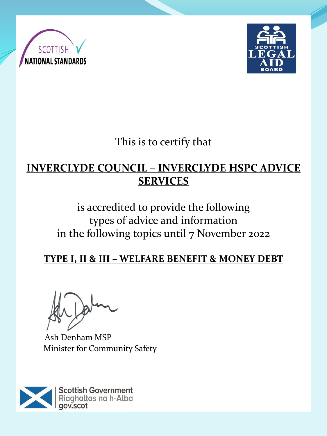



This is to certify that

## **INVERCLYDE COUNCIL – INVERCLYDE HSPC ADVICE SERVICES**

# is accredited to provide the following types of advice and information in the following topics until 7 November 2022

### **TYPE I, II & III – WELFARE BENEFIT & MONEY DEBT**

Ash Denham MSP Minister for Community Safety

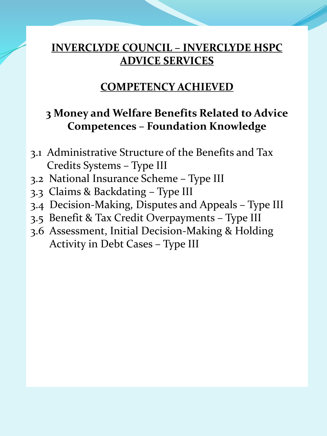#### **COMPETENCY ACHIEVED**

#### **3 Money and Welfare Benefits Related to Advice Competences – Foundation Knowledge**

- 3.1 Administrative Structure of the Benefits and Tax Credits Systems – Type III
- 3.2 National Insurance Scheme Type III
- 3.3 Claims & Backdating Type III
- 3.4 Decision-Making, Disputes and Appeals Type III
- 3.5 Benefit & Tax Credit Overpayments Type III
- 3.6 Assessment, Initial Decision-Making & Holding Activity in Debt Cases – Type III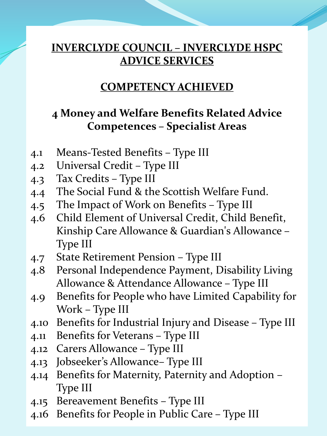#### **COMPETENCY ACHIEVED**

### **4 Money and Welfare Benefits Related Advice Competences – Specialist Areas**

- 4.1 Means-Tested Benefits Type III
- 4.2 Universal Credit Type III
- 4.3 Tax Credits Type III
- 4.4 The Social Fund & the Scottish Welfare Fund.
- 4.5 The Impact of Work on Benefits Type III
- 4.6 Child Element of Universal Credit, Child Benefit, Kinship Care Allowance & Guardian's Allowance – Type III
- 4.7 State Retirement Pension Type III
- 4.8 Personal Independence Payment, Disability Living Allowance & Attendance Allowance – Type III
- 4.9 Benefits for People who have Limited Capability for Work – Type III
- 4.10 Benefits for Industrial Injury and Disease Type III
- 4.11 Benefits for Veterans Type III
- 4.12 Carers Allowance Type III
- 4.13 Jobseeker's Allowance– Type III
- 4.14 Benefits for Maternity, Paternity and Adoption Type III
- 4.15 Bereavement Benefits Type III
- 4.16 Benefits for People in Public Care Type III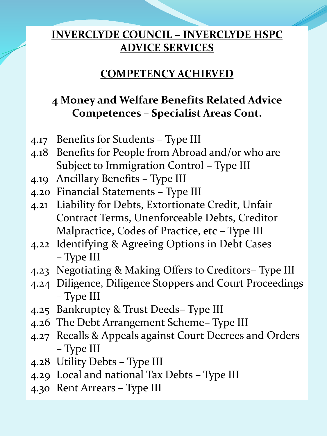#### **COMPETENCY ACHIEVED**

## **4 Money and Welfare Benefits Related Advice Competences – Specialist Areas Cont.**

- 4.17 Benefits for Students Type III
- 4.18 Benefits for People from Abroad and/or who are Subject to Immigration Control – Type III
- 4.19 Ancillary Benefits Type III
- 4.20 Financial Statements Type III
- 4.21 Liability for Debts, Extortionate Credit, Unfair Contract Terms, Unenforceable Debts, Creditor Malpractice, Codes of Practice, etc – Type III
- 4.22 Identifying & Agreeing Options in Debt Cases – Type III
- 4.23 Negotiating & Making Offers to Creditors– Type III
- 4.24 Diligence, Diligence Stoppers and Court Proceedings – Type III
- 4.25 Bankruptcy & Trust Deeds– Type III
- 4.26 The Debt Arrangement Scheme– Type III
- 4.27 Recalls & Appeals against Court Decrees and Orders – Type III
- 4.28 Utility Debts Type III
- 4.29 Local and national Tax Debts Type III
- 4.30 Rent Arrears Type III